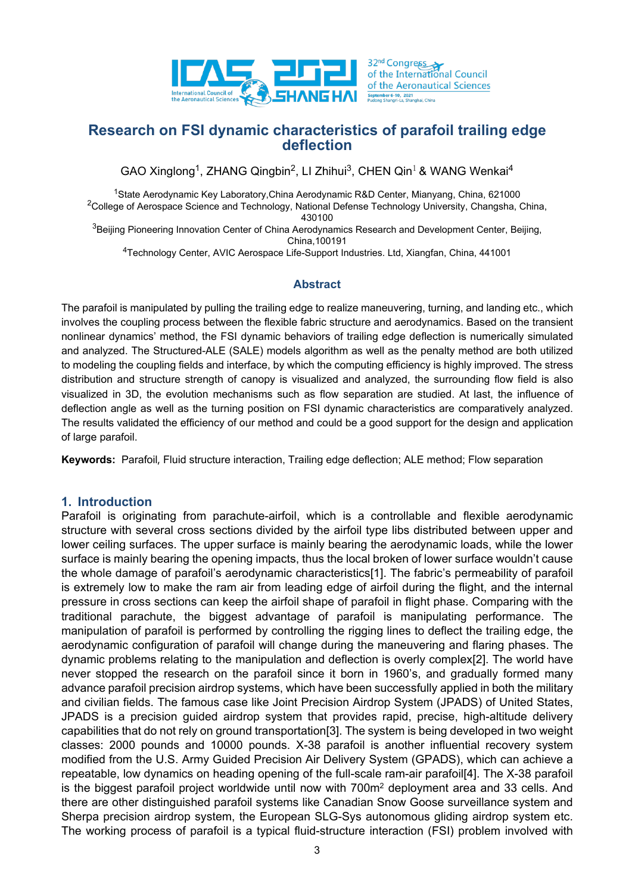

# **Research on FSI dynamic characteristics of parafoil trailing edge deflection**

GAO Xinglong<sup>1</sup>, ZHANG Qingbin<sup>2</sup>, LI Zhihui<sup>3</sup>, CHEN Qin<sup>1</sup> & WANG Wenkai<sup>4</sup>

1State Aerodynamic Key Laboratory,China Aerodynamic R&D Center, Mianyang, China, 621000 <sup>2</sup>College of Aerospace Science and Technology, National Defense Technology University, Changsha, China, 430100

<sup>3</sup>Beijing Pioneering Innovation Center of China Aerodynamics Research and Development Center, Beijing, China,100191

4Technology Center, AVIC Aerospace Life-Support Industries. Ltd, Xiangfan, China, 441001

### **Abstract**

The parafoil is manipulated by pulling the trailing edge to realize maneuvering, turning, and landing etc., which involves the coupling process between the flexible fabric structure and aerodynamics. Based on the transient nonlinear dynamics' method, the FSI dynamic behaviors of trailing edge deflection is numerically simulated and analyzed. The Structured-ALE (SALE) models algorithm as well as the penalty method are both utilized to modeling the coupling fields and interface, by which the computing efficiency is highly improved. The stress distribution and structure strength of canopy is visualized and analyzed, the surrounding flow field is also visualized in 3D, the evolution mechanisms such as flow separation are studied. At last, the influence of deflection angle as well as the turning position on FSI dynamic characteristics are comparatively analyzed. The results validated the efficiency of our method and could be a good support for the design and application of large parafoil.

**Keywords:** Parafoil, Fluid structure interaction, Trailing edge deflection; ALE method; Flow separation

### **1. Introduction**

Parafoil is originating from parachute-airfoil, which is a controllable and flexible aerodynamic structure with several cross sections divided by the airfoil type libs distributed between upper and lower ceiling surfaces. The upper surface is mainly bearing the aerodynamic loads, while the lower surface is mainly bearing the opening impacts, thus the local broken of lower surface wouldn't cause the whole damage of parafoil's aerodynamic characteristics[1]. The fabric's permeability of parafoil is extremely low to make the ram air from leading edge of airfoil during the flight, and the internal pressure in cross sections can keep the airfoil shape of parafoil in flight phase. Comparing with the traditional parachute, the biggest advantage of parafoil is manipulating performance. The manipulation of parafoil is performed by controlling the rigging lines to deflect the trailing edge, the aerodynamic configuration of parafoil will change during the maneuvering and flaring phases. The dynamic problems relating to the manipulation and deflection is overly complex[2]. The world have never stopped the research on the parafoil since it born in 1960's, and gradually formed many advance parafoil precision airdrop systems, which have been successfully applied in both the military and civilian fields. The famous case like Joint Precision Airdrop System (JPADS) of United States, JPADS is a precision guided airdrop system that provides rapid, precise, high-altitude delivery capabilities that do not rely on ground transportation[3]. The system is being developed in two weight classes: 2000 pounds and 10000 pounds. X-38 parafoil is another influential recovery system modified from the U.S. Army Guided Precision Air Delivery System (GPADS), which can achieve a repeatable, low dynamics on heading opening of the full-scale ram-air parafoil[4]. The X-38 parafoil is the biggest parafoil project worldwide until now with 700m<sup>2</sup> deployment area and 33 cells. And there are other distinguished parafoil systems like Canadian Snow Goose surveillance system and Sherpa precision airdrop system, the European SLG-Sys autonomous gliding airdrop system etc. The working process of parafoil is a typical fluid-structure interaction (FSI) problem involved with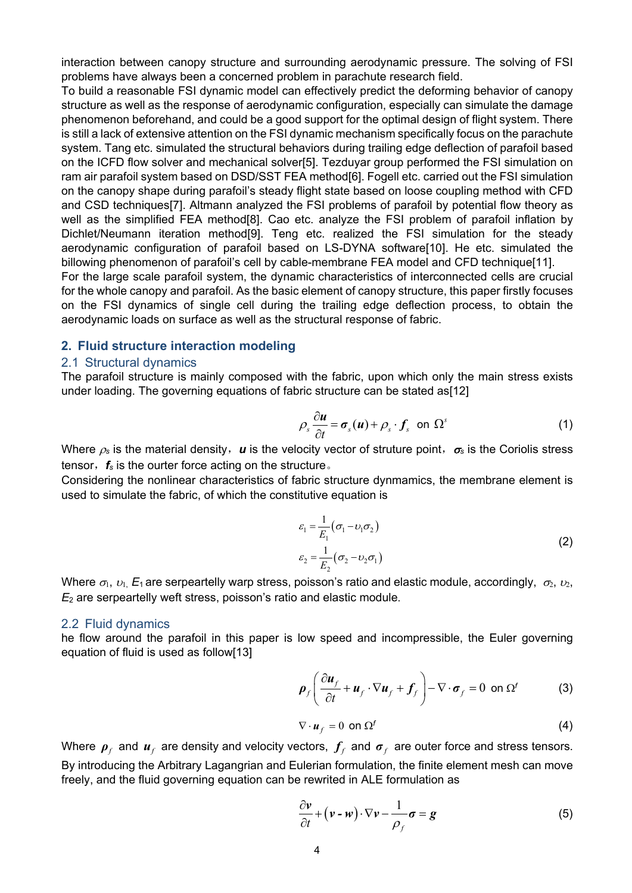interaction between canopy structure and surrounding aerodynamic pressure. The solving of FSI problems have always been a concerned problem in parachute research field.

To build a reasonable FSI dynamic model can effectively predict the deforming behavior of canopy structure as well as the response of aerodynamic configuration, especially can simulate the damage phenomenon beforehand, and could be a good support for the optimal design of flight system. There is still a lack of extensive attention on the FSI dynamic mechanism specifically focus on the parachute system. Tang etc. simulated the structural behaviors during trailing edge deflection of parafoil based on the ICFD flow solver and mechanical solver[5]. Tezduyar group performed the FSI simulation on ram air parafoil system based on DSD/SST FEA method[6]. Fogell etc. carried out the FSI simulation on the canopy shape during parafoil's steady flight state based on loose coupling method with CFD and CSD techniques[7]. Altmann analyzed the FSI problems of parafoil by potential flow theory as well as the simplified FEA method[8]. Cao etc. analyze the FSI problem of parafoil inflation by Dichlet/Neumann iteration method[9]. Teng etc. realized the FSI simulation for the steady aerodynamic configuration of parafoil based on LS-DYNA software[10]. He etc. simulated the billowing phenomenon of parafoil's cell by cable-membrane FEA model and CFD technique[11].

For the large scale parafoil system, the dynamic characteristics of interconnected cells are crucial for the whole canopy and parafoil. As the basic element of canopy structure, this paper firstly focuses on the FSI dynamics of single cell during the trailing edge deflection process, to obtain the aerodynamic loads on surface as well as the structural response of fabric.

### **2. Fluid structure interaction modeling**

#### 2.1 Structural dynamics

The parafoil structure is mainly composed with the fabric, upon which only the main stress exists under loading. The governing equations of fabric structure can be stated as[12]

$$
\rho_s \frac{\partial \boldsymbol{u}}{\partial t} = \boldsymbol{\sigma}_s(\boldsymbol{u}) + \rho_s \cdot \boldsymbol{f}_s \quad \text{on } \Omega^s \tag{1}
$$

Where  $\rho_s$  is the material density, *u* is the velocity vector of struture point,  $\sigma_s$  is the Coriolis stress tensor,  $f_s$  is the ourter force acting on the structure.

Considering the nonlinear characteristics of fabric structure dynmamics, the membrane element is used to simulate the fabric, of which the constitutive equation is

$$
\varepsilon_1 = \frac{1}{E_1} (\sigma_1 - \nu_1 \sigma_2)
$$
  
\n
$$
\varepsilon_2 = \frac{1}{E_2} (\sigma_2 - \nu_2 \sigma_1)
$$
\n(2)

Where  $\sigma_1$ ,  $v_1$ ,  $E_1$  are serpeartelly warp stress, poisson's ratio and elastic module, accordingly,  $\sigma_2$ ,  $v_2$ , *E*<sup>2</sup> are serpeartelly weft stress, poisson's ratio and elastic module.

#### 2.2 Fluid dynamics

he flow around the parafoil in this paper is low speed and incompressible, the Euler governing equation of fluid is used as follow[13]

$$
\rho_f \left( \frac{\partial u_f}{\partial t} + u_f \cdot \nabla u_f + f_f \right) - \nabla \cdot \sigma_f = 0 \text{ on } \Omega^f \tag{3}
$$

$$
\nabla \cdot \boldsymbol{u}_f = 0 \text{ on } \Omega^f \tag{4}
$$

Where  $p_f$  and  $u_f$  are density and velocity vectors,  $f_f$  and  $\sigma_f$  are outer force and stress tensors. By introducing the Arbitrary Lagangrian and Eulerian formulation, the finite element mesh can move freely, and the fluid governing equation can be rewrited in ALE formulation as

$$
\frac{\partial \mathbf{v}}{\partial t} + (\mathbf{v} - \mathbf{w}) \cdot \nabla \mathbf{v} - \frac{1}{\rho_f} \boldsymbol{\sigma} = \boldsymbol{g}
$$
 (5)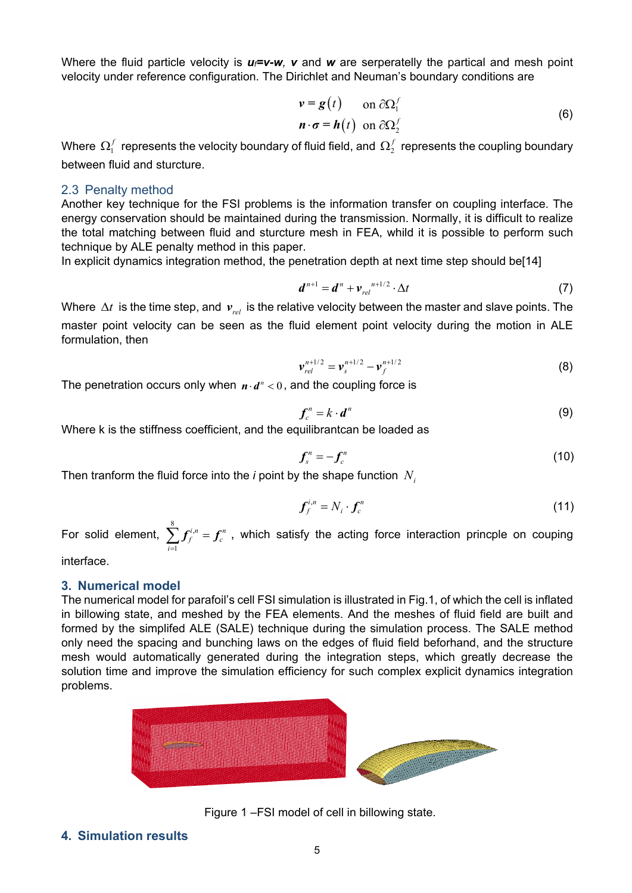Where the fluid particle velocity is  $u_f = v - w$ , v and w are serperatelly the partical and mesh point velocity under reference configuration. The Dirichlet and Neuman's boundary conditions are

$$
\mathbf{v} = \mathbf{g}(t) \quad \text{on } \partial \Omega_1^f
$$
  

$$
\mathbf{n} \cdot \mathbf{\sigma} = \mathbf{h}(t) \quad \text{on } \partial \Omega_2^f
$$
 (6)

Where  $\, \Omega^f_1 \,$  represents the velocity boundary of fluid field, and  $\, \Omega^f_2 \,$  represents the coupling boundary between fluid and sturcture.

### 2.3 Penalty method

Another key technique for the FSI problems is the information transfer on coupling interface. The energy conservation should be maintained during the transmission. Normally, it is difficult to realize the total matching between fluid and sturcture mesh in FEA, whild it is possible to perform such technique by ALE penalty method in this paper.

In explicit dynamics integration method, the penetration depth at next time step should be[14]

$$
\boldsymbol{d}^{n+1} = \boldsymbol{d}^n + \boldsymbol{v}_{rel}^{n+1/2} \cdot \Delta t \tag{7}
$$

Where ∆*t* is the time step, and  $v_{rel}$  is the relative velocity between the master and slave points. The master point velocity can be seen as the fluid element point velocity during the motion in ALE formulation, then

$$
\mathbf{v}_{rel}^{n+1/2} = \mathbf{v}_{s}^{n+1/2} - \mathbf{v}_{f}^{n+1/2}
$$
 (8)

The penetration occurs only when  $n \cdot d^n < 0$ , and the coupling force is

$$
\boldsymbol{f}_c^n = k \cdot \boldsymbol{d}^n \tag{9}
$$

Where k is the stiffness coefficient, and the equilibrantcan be loaded as

$$
f_s^n = -f_c^n \tag{10}
$$

Then tranform the fluid force into the *i* point by the shape function  $N_i$ 

$$
\boldsymbol{f}_f^{i,n} = N_i \cdot \boldsymbol{f}_c^n \tag{11}
$$

For solid element,  $\sum\limits^8 f^{i}_{\ell}$ 1  $i, n$  –  $\mathbf{f}^n$  $\sum_{i=1}^n f^{i,n}_f = f^{n}_c$  , which satisfy the acting force interaction princple on couping

interface.

### **3. Numerical model**

The numerical model for parafoil's cell FSI simulation is illustrated in Fig.1, of which the cell is inflated in billowing state, and meshed by the FEA elements. And the meshes of fluid field are built and formed by the simplifed ALE (SALE) technique during the simulation process. The SALE method only need the spacing and bunching laws on the edges of fluid field beforhand, and the structure mesh would automatically generated during the integration steps, which greatly decrease the solution time and improve the simulation efficiency for such complex explicit dynamics integration problems.



Figure 1 –FSI model of cell in billowing state.

**4. Simulation results**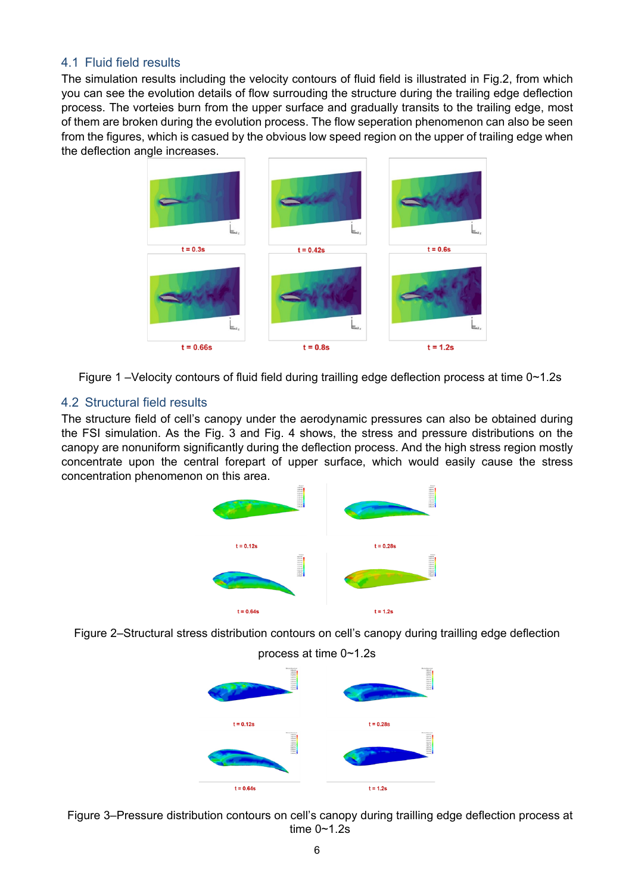# 4.1 Fluid field results

The simulation results including the velocity contours of fluid field is illustrated in Fig.2, from which you can see the evolution details of flow surrouding the structure during the trailing edge deflection process. The vorteies burn from the upper surface and gradually transits to the trailing edge, most of them are broken during the evolution process. The flow seperation phenomenon can also be seen from the figures, which is casued by the obvious low speed region on the upper of trailing edge when the deflection angle increases.



Figure 1 –Velocity contours of fluid field during trailling edge deflection process at time 0~1.2s

# 4.2 Structural field results

The structure field of cell's canopy under the aerodynamic pressures can also be obtained during the FSI simulation. As the Fig. 3 and Fig. 4 shows, the stress and pressure distributions on the canopy are nonuniform significantly during the deflection process. And the high stress region mostly concentrate upon the central forepart of upper surface, which would easily cause the stress concentration phenomenon on this area.







Figure 3–Pressure distribution contours on cell's canopy during trailling edge deflection process at time 0~1.2s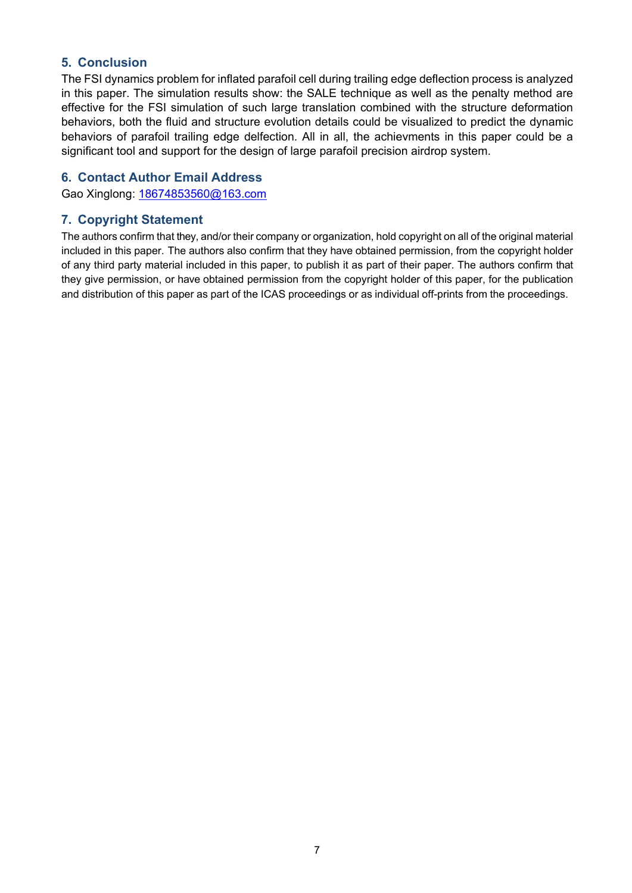# **5. Conclusion**

The FSI dynamics problem for inflated parafoil cell during trailing edge deflection process is analyzed in this paper. The simulation results show: the SALE technique as well as the penalty method are effective for the FSI simulation of such large translation combined with the structure deformation behaviors, both the fluid and structure evolution details could be visualized to predict the dynamic behaviors of parafoil trailing edge delfection. All in all, the achievments in this paper could be a significant tool and support for the design of large parafoil precision airdrop system.

# **6. Contact Author Email Address**

Gao Xinglong: [18674853560@163.com](mailto:18674853560@163.com)

# **7. Copyright Statement**

The authors confirm that they, and/or their company or organization, hold copyright on all of the original material included in this paper. The authors also confirm that they have obtained permission, from the copyright holder of any third party material included in this paper, to publish it as part of their paper. The authors confirm that they give permission, or have obtained permission from the copyright holder of this paper, for the publication and distribution of this paper as part of the ICAS proceedings or as individual off-prints from the proceedings.